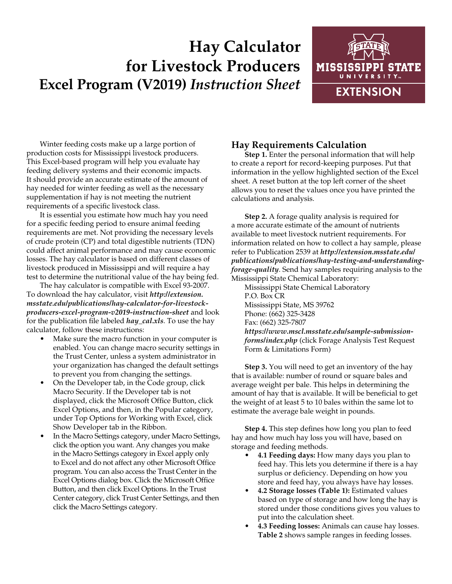## **Hay Calculator for Livestock Producers Excel Program (V2019)** *Instruction Sheet*



Winter feeding costs make up a large portion of production costs for Mississippi livestock producers. This Excel-based program will help you evaluate hay feeding delivery systems and their economic impacts. It should provide an accurate estimate of the amount of hay needed for winter feeding as well as the necessary supplementation if hay is not meeting the nutrient requirements of a specific livestock class.

It is essential you estimate how much hay you need for a specific feeding period to ensure animal feeding requirements are met. Not providing the necessary levels of crude protein (CP) and total digestible nutrients (TDN) could affect animal performance and may cause economic losses. The hay calculator is based on different classes of livestock produced in Mississippi and will require a hay test to determine the nutritional value of the hay being fed.

The hay calculator is compatible with Excel 93-2007. To download the hay calculator, visit *http://extension. msstate.edu/publications/hay-calculator-for-livestockproducers-excel-program-v2019-instruction-sheet* and look for the publication file labeled *hay\_cal.xls*. To use the hay calculator, follow these instructions:

- Make sure the macro function in your computer is enabled. You can change macro security settings in the Trust Center, unless a system administrator in your organization has changed the default settings to prevent you from changing the settings.
- On the Developer tab, in the Code group, click Macro Security. If the Developer tab is not displayed, click the Microsoft Office Button, click Excel Options, and then, in the Popular category, under Top Options for Working with Excel, click Show Developer tab in the Ribbon.
- In the Macro Settings category, under Macro Settings, click the option you want. Any changes you make in the Macro Settings category in Excel apply only to Excel and do not affect any other Microsoft Office program. You can also access the Trust Center in the Excel Options dialog box. Click the Microsoft Office Button, and then click Excel Options. In the Trust Center category, click Trust Center Settings, and then click the Macro Settings category.

## **Hay Requirements Calculation**

**Step 1.** Enter the personal information that will help to create a report for record-keeping purposes. Put that information in the yellow highlighted section of the Excel sheet. A reset button at the top left corner of the sheet allows you to reset the values once you have printed the calculations and analysis.

**Step 2.** A forage quality analysis is required for a more accurate estimate of the amount of nutrients available to meet livestock nutrient requirements. For information related on how to collect a hay sample, please refer to Publication 2539 at *[http://extension.msstate.edu/](http://extension.msstate.edu/publications/publications/hay-testing-and-understanding-forage-quality) [publications/publications/hay-testing-and-understanding](http://extension.msstate.edu/publications/publications/hay-testing-and-understanding-forage-quality)[forage-quality](http://extension.msstate.edu/publications/publications/hay-testing-and-understanding-forage-quality)*. Send hay samples requiring analysis to the Mississippi State Chemical Laboratory:

Mississippi State Chemical Laboratory P.O. Box CR Mississippi State, MS 39762 Phone: (662) 325-3428 Fax: (662) 325-7807 *https://www.mscl.msstate.edu/sample-submissionforms/index.php* (click Forage Analysis Test Request Form & Limitations Form)

**Step 3.** You will need to get an inventory of the hay that is available: number of round or square bales and average weight per bale. This helps in determining the amount of hay that is available. It will be beneficial to get the weight of at least 5 to 10 bales within the same lot to estimate the average bale weight in pounds.

**Step 4.** This step defines how long you plan to feed hay and how much hay loss you will have, based on storage and feeding methods.

- **• 4.1 Feeding days:** How many days you plan to feed hay. This lets you determine if there is a hay surplus or deficiency. Depending on how you store and feed hay, you always have hay losses.
- **• 4.2 Storage losses (Table 1):** Estimated values based on type of storage and how long the hay is stored under those conditions gives you values to put into the calculation sheet.
- **• 4.3 Feeding losses:** Animals can cause hay losses. **Table 2** shows sample ranges in feeding losses.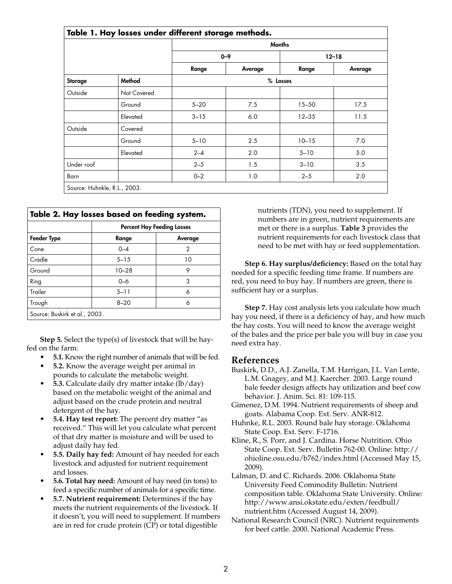| Table 1. Hay losses under different storage methods. |             |               |          |           |         |  |
|------------------------------------------------------|-------------|---------------|----------|-----------|---------|--|
|                                                      |             | <b>Months</b> |          |           |         |  |
|                                                      |             | $0 - 9$       |          | $12 - 18$ |         |  |
|                                                      |             | Range         | Average  | Range     | Average |  |
| Storage                                              | Method      |               | % Losses |           |         |  |
| Outside                                              | Not Covered |               |          |           |         |  |
|                                                      | Ground      | $5 - 20$      | 7.5      | $15 - 50$ | 17.5    |  |
|                                                      | Elevated    | $3 - 15$      | 6.0      | $12 - 35$ | 11.5    |  |
| Outside                                              | Covered     |               |          |           |         |  |
|                                                      | Ground      | $5 - 10$      | 2.5      | $10 - 15$ | 7.0     |  |
|                                                      | Elevated    | $2 - 4$       | 2.0      | $5 - 10$  | 5.0     |  |
| Under roof                                           |             | $2 - 5$       | 1.5      | $3 - 10$  | 3.5     |  |
| Barn                                                 |             | $0 - 2$       | 1.0      | $2 - 5$   | 2.0     |  |

| Table 2. Hay losses based on feeding system. |                                   |         |  |  |  |
|----------------------------------------------|-----------------------------------|---------|--|--|--|
|                                              | <b>Percent Hay Feeding Losses</b> |         |  |  |  |
| <b>Feeder Type</b>                           | Range                             | Average |  |  |  |
| Cone                                         | $0 - 4$                           | 2       |  |  |  |
| Cradle                                       | $5 - 15$                          | 10      |  |  |  |
| Ground                                       | $10 - 28$                         | 9       |  |  |  |
| Ring                                         | $0 - 6$                           | 3       |  |  |  |
| Trailer                                      | $5 - 11$                          | 6       |  |  |  |
| Trough                                       | $8 - 20$                          | 6       |  |  |  |
| Source: Buskirk et al., 2003.                |                                   |         |  |  |  |

**Step 5.** Select the type(s) of livestock that will be hayfed on the farm:

- **• 5.1.** Know the right number of animals that will be fed.
- **• 5.2.** Know the average weight per animal in pounds to calculate the metabolic weight.
- **• 5.3.** Calculate daily dry matter intake (lb/day) based on the metabolic weight of the animal and adjust based on the crude protein and neutral detergent of the hay.
- **• 5.4. Hay test report:** The percent dry matter "as received." This will let you calculate what percent of that dry matter is moisture and will be used to adjust daily hay fed.
- **• 5.5. Daily hay fed:** Amount of hay needed for each livestock and adjusted for nutrient requirement and losses.
- **• 5.6. Total hay need:** Amount of hay need (in tons) to feed a specific number of animals for a specific time.
- **• 5.7. Nutrient requirement:** Determines if the hay meets the nutrient requirements of the livestock. If it doesn't, you will need to supplement. If numbers are in red for crude protein (CP) or total digestible

nutrients (TDN), you need to supplement. If numbers are in green, nutrient requirements are met or there is a surplus. **Table 3** provides the nutrient requirements for each livestock class that need to be met with hay or feed supplementation.

**Step 6. Hay surplus/deficiency:** Based on the total hay needed for a specific feeding time frame. If numbers are red, you need to buy hay. If numbers are green, there is sufficient hay or a surplus.

**Step 7.** Hay cost analysis lets you calculate how much hay you need, if there is a deficiency of hay, and how much the hay costs. You will need to know the average weight of the bales and the price per bale you will buy in case you need extra hay.

## **References**

- Buskirk, D.D., A.J. Zanella, T.M. Harrigan, J.L. Van Lente, L.M. Gnagey, and M.J. Kaercher. 2003. Large round bale feeder design affects hay utilization and beef cow behavior. J. Anim. Sci. 81: 109-115.
- Gimenez, D.M. 1994. Nutrient requirements of sheep and goats. Alabama Coop. Ext. Serv. ANR-812.
- Huhnke, R.L. 2003. Round bale hay storage. Oklahoma State Coop. Ext. Serv. F-1716.
- Kline, R., S. Porr, and J. Cardina. Horse Nutrition. Ohio State Coop. Ext. Serv. Bulletin 762-00. Online: http:// ohioline.osu.edu/b762/index.html (Accessed May 15, 2009).
- Lalman, D. and C. Richards. 2006. Oklahoma State University Feed Commodity Bulletin: Nutrient composition table. Oklahoma State University. Online: http://www.ansi.okstate.edu/exten/feedbull/ nutrient.htm (Accessed August 14, 2009).
- National Research Council (NRC). Nutrient requirements for beef cattle. 2000. National Academic Press.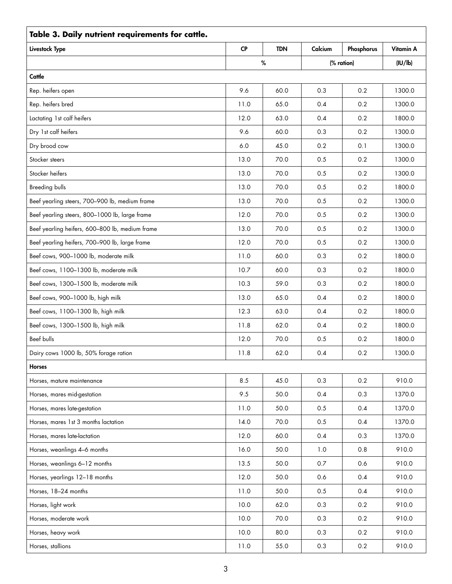| Table 3. Daily nutrient requirements for cattle. |           |            |         |            |           |  |
|--------------------------------------------------|-----------|------------|---------|------------|-----------|--|
| Livestock Type                                   | <b>CP</b> | <b>TDN</b> | Calcium | Phosphorus | Vitamin A |  |
|                                                  |           | $\%$       |         | (% ration) | (IU/lb)   |  |
| Cattle                                           |           |            |         |            |           |  |
| Rep. heifers open                                | 9.6       | 60.0       | 0.3     | 0.2        | 1300.0    |  |
| Rep. heifers bred                                | 11.0      | 65.0       | 0.4     | 0.2        | 1300.0    |  |
| Lactating 1st calf heifers                       | 12.0      | 63.0       | 0.4     | 0.2        | 1800.0    |  |
| Dry 1st calf heifers                             | 9.6       | 60.0       | 0.3     | 0.2        | 1300.0    |  |
| Dry brood cow                                    | 6.0       | 45.0       | 0.2     | 0.1        | 1300.0    |  |
| Stocker steers                                   | 13.0      | 70.0       | 0.5     | 0.2        | 1300.0    |  |
| Stocker heifers                                  | 13.0      | 70.0       | 0.5     | 0.2        | 1300.0    |  |
| <b>Breeding bulls</b>                            | 13.0      | 70.0       | 0.5     | 0.2        | 1800.0    |  |
| Beef yearling steers, 700-900 lb, medium frame   | 13.0      | 70.0       | 0.5     | 0.2        | 1300.0    |  |
| Beef yearling steers, 800-1000 lb, large frame   | 12.0      | 70.0       | 0.5     | 0.2        | 1300.0    |  |
| Beef yearling heifers, 600-800 lb, medium frame  | 13.0      | 70.0       | 0.5     | 0.2        | 1300.0    |  |
| Beef yearling heifers, 700-900 lb, large frame   | 12.0      | 70.0       | 0.5     | 0.2        | 1300.0    |  |
| Beef cows, 900-1000 lb, moderate milk            | 11.0      | 60.0       | 0.3     | 0.2        | 1800.0    |  |
| Beef cows, 1100-1300 lb, moderate milk           | 10.7      | 60.0       | 0.3     | 0.2        | 1800.0    |  |
| Beef cows, 1300-1500 lb, moderate milk           | 10.3      | 59.0       | 0.3     | 0.2        | 1800.0    |  |
| Beef cows, 900-1000 lb, high milk                | 13.0      | 65.0       | 0.4     | 0.2        | 1800.0    |  |
| Beef cows, 1100-1300 lb, high milk               | 12.3      | 63.0       | 0.4     | 0.2        | 1800.0    |  |
| Beef cows, 1300-1500 lb, high milk               | 11.8      | 62.0       | 0.4     | 0.2        | 1800.0    |  |
| <b>Beef bulls</b>                                | 12.0      | 70.0       | 0.5     | 0.2        | 1800.0    |  |
| Dairy cows 1000 lb, 50% forage ration            | 11.8      | 62.0       | 0.4     | 0.2        | 1300.0    |  |
| <b>Horses</b>                                    |           |            |         |            |           |  |
| Horses, mature maintenance                       | 8.5       | 45.0       | 0.3     | 0.2        | 910.0     |  |
| Horses, mares mid-gestation                      | 9.5       | 50.0       | 0.4     | 0.3        | 1370.0    |  |
| Horses, mares late-gestation                     | 11.0      | 50.0       | 0.5     | 0.4        | 1370.0    |  |
| Horses, mares 1st 3 months lactation             | 14.0      | 70.0       | 0.5     | 0.4        | 1370.0    |  |
| Horses, mares late-lactation                     | 12.0      | 60.0       | 0.4     | 0.3        | 1370.0    |  |
| Horses, weanlings 4-6 months                     | 16.0      | 50.0       | 1.0     | 0.8        | 910.0     |  |
| Horses, weanlings 6-12 months                    | 13.5      | 50.0       | 0.7     | 0.6        | 910.0     |  |
| Horses, yearlings 12-18 months                   | 12.0      | 50.0       | 0.6     | 0.4        | 910.0     |  |
| Horses, 18-24 months                             | 11.0      | 50.0       | 0.5     | 0.4        | 910.0     |  |
| Horses, light work                               | 10.0      | 62.0       | 0.3     | 0.2        | 910.0     |  |
| Horses, moderate work                            | 10.0      | 70.0       | 0.3     | 0.2        | 910.0     |  |
| Horses, heavy work                               | 10.0      | 80.0       | 0.3     | 0.2        | 910.0     |  |
| Horses, stallions                                | 11.0      | 55.0       | 0.3     | 0.2        | 910.0     |  |